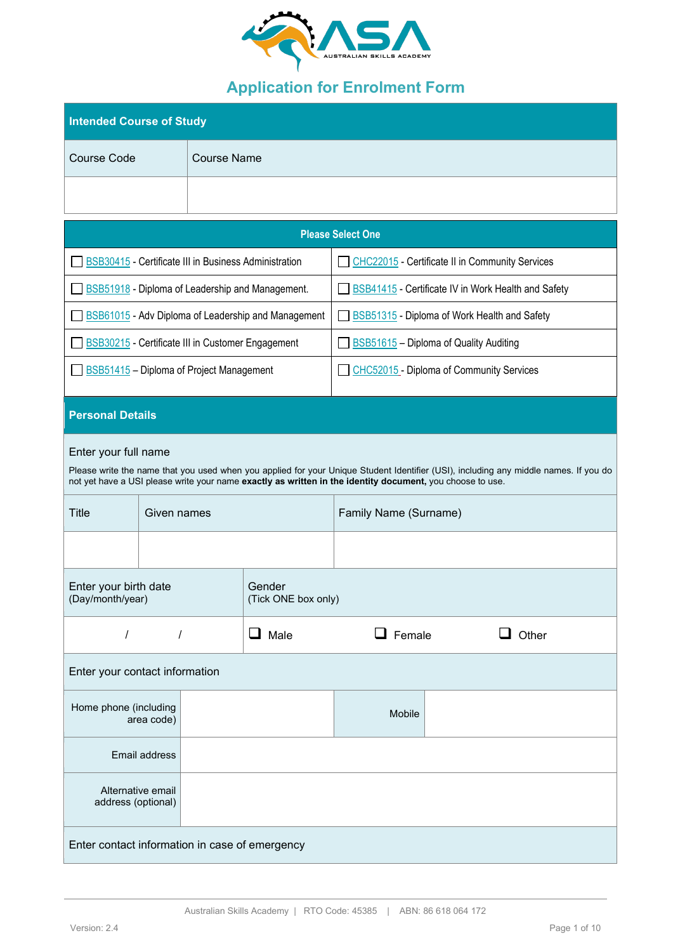

# **Application for Enrolment Form**

| <b>Intended Course of Study</b>                |                         |                                          |                                                            |                                                                                                           |  |                                                                                                                                      |  |
|------------------------------------------------|-------------------------|------------------------------------------|------------------------------------------------------------|-----------------------------------------------------------------------------------------------------------|--|--------------------------------------------------------------------------------------------------------------------------------------|--|
| <b>Course Code</b>                             |                         | <b>Course Name</b>                       |                                                            |                                                                                                           |  |                                                                                                                                      |  |
|                                                |                         |                                          |                                                            |                                                                                                           |  |                                                                                                                                      |  |
|                                                |                         |                                          |                                                            | <b>Please Select One</b>                                                                                  |  |                                                                                                                                      |  |
|                                                |                         |                                          | BSB30415 - Certificate III in Business Administration      | CHC22015 - Certificate II in Community Services                                                           |  |                                                                                                                                      |  |
|                                                |                         |                                          | <b>BSB51918</b> - Diploma of Leadership and Management.    |                                                                                                           |  | <b>BSB41415</b> - Certificate IV in Work Health and Safety                                                                           |  |
|                                                |                         |                                          | <b>BSB61015</b> - Adv Diploma of Leadership and Management | <b>BSB51315</b> - Diploma of Work Health and Safety                                                       |  |                                                                                                                                      |  |
|                                                |                         |                                          | BSB30215 - Certificate III in Customer Engagement          | <b>BSB51615</b> - Diploma of Quality Auditing                                                             |  |                                                                                                                                      |  |
|                                                |                         | BSB51415 - Diploma of Project Management |                                                            | CHC52015 - Diploma of Community Services                                                                  |  |                                                                                                                                      |  |
|                                                | <b>Personal Details</b> |                                          |                                                            |                                                                                                           |  |                                                                                                                                      |  |
| Enter your full name                           |                         |                                          |                                                            | not yet have a USI please write your name exactly as written in the identity document, you choose to use. |  | Please write the name that you used when you applied for your Unique Student Identifier (USI), including any middle names. If you do |  |
| <b>Title</b>                                   | Given names             |                                          |                                                            | Family Name (Surname)                                                                                     |  |                                                                                                                                      |  |
|                                                |                         |                                          |                                                            |                                                                                                           |  |                                                                                                                                      |  |
| Enter your birth date<br>(Day/month/year)      |                         |                                          | Gender<br>(Tick ONE box only)                              |                                                                                                           |  |                                                                                                                                      |  |
| $\prime$                                       | $\prime$                |                                          | Male                                                       | $\Box$ Female                                                                                             |  | Other                                                                                                                                |  |
| Enter your contact information                 |                         |                                          |                                                            |                                                                                                           |  |                                                                                                                                      |  |
| Home phone (including                          | area code)              |                                          |                                                            | Mobile                                                                                                    |  |                                                                                                                                      |  |
|                                                | <b>Email address</b>    |                                          |                                                            |                                                                                                           |  |                                                                                                                                      |  |
| Alternative email<br>address (optional)        |                         |                                          |                                                            |                                                                                                           |  |                                                                                                                                      |  |
| Enter contact information in case of emergency |                         |                                          |                                                            |                                                                                                           |  |                                                                                                                                      |  |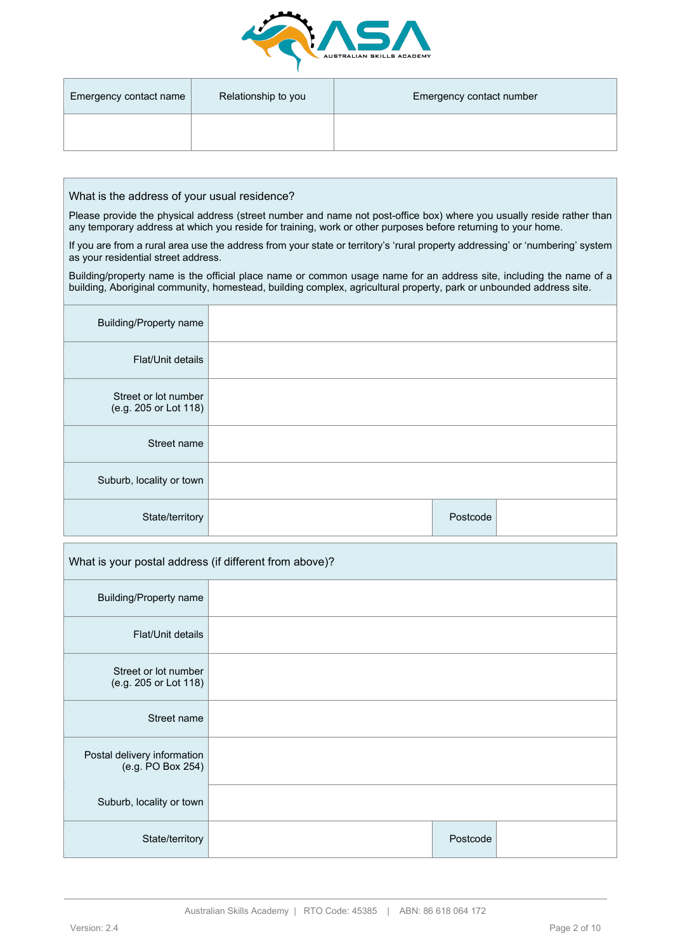

| Emergency contact name | Relationship to you | Emergency contact number |
|------------------------|---------------------|--------------------------|
|                        |                     |                          |

What is the address of your usual residence?

Please provide the physical address (street number and name not post-office box) where you usually reside rather than any temporary address at which you reside for training, work or other purposes before returning to your home.

If you are from a rural area use the address from your state or territory's 'rural property addressing' or 'numbering' system as your residential street address.

Building/property name is the official place name or common usage name for an address site, including the name of a building, Aboriginal community, homestead, building complex, agricultural property, park or unbounded address site.

| <b>Building/Property name</b>                 |          |
|-----------------------------------------------|----------|
| Flat/Unit details                             |          |
| Street or lot number<br>(e.g. 205 or Lot 118) |          |
| Street name                                   |          |
| Suburb, locality or town                      |          |
| State/territory                               | Postcode |

|                                                  | What is your postal address (if different from above)? |          |  |  |  |  |  |
|--------------------------------------------------|--------------------------------------------------------|----------|--|--|--|--|--|
| <b>Building/Property name</b>                    |                                                        |          |  |  |  |  |  |
| Flat/Unit details                                |                                                        |          |  |  |  |  |  |
| Street or lot number<br>(e.g. 205 or Lot 118)    |                                                        |          |  |  |  |  |  |
| Street name                                      |                                                        |          |  |  |  |  |  |
| Postal delivery information<br>(e.g. PO Box 254) |                                                        |          |  |  |  |  |  |
| Suburb, locality or town                         |                                                        |          |  |  |  |  |  |
| State/territory                                  |                                                        | Postcode |  |  |  |  |  |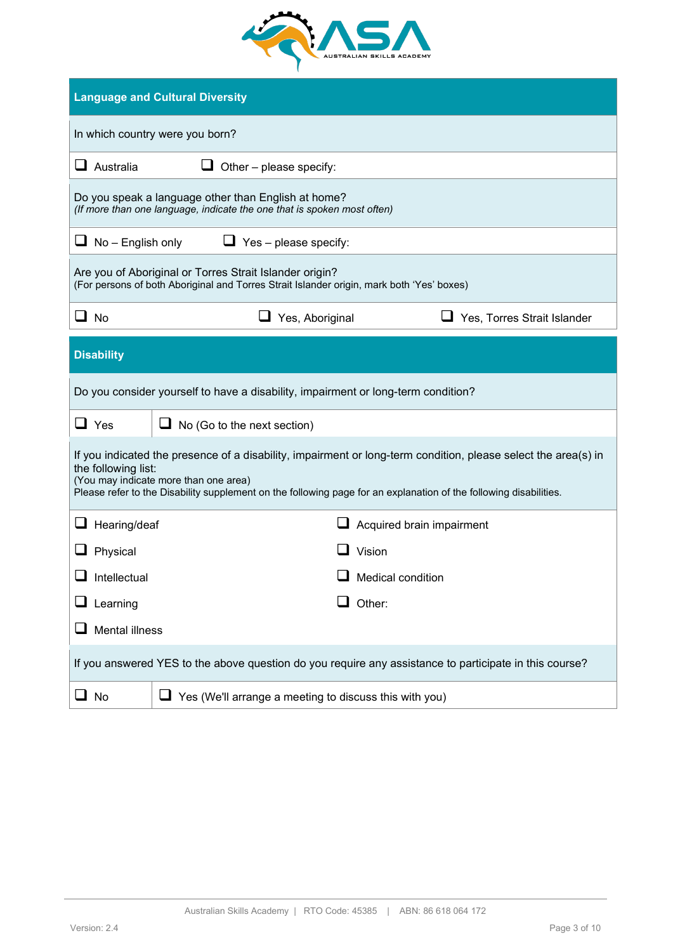

|                                 | <b>Language and Cultural Diversity</b>                                                                                                                                                                                                                                       |  |  |  |  |  |  |
|---------------------------------|------------------------------------------------------------------------------------------------------------------------------------------------------------------------------------------------------------------------------------------------------------------------------|--|--|--|--|--|--|
| In which country were you born? |                                                                                                                                                                                                                                                                              |  |  |  |  |  |  |
| $\Box$ Australia                | Other - please specify:                                                                                                                                                                                                                                                      |  |  |  |  |  |  |
|                                 | Do you speak a language other than English at home?<br>(If more than one language, indicate the one that is spoken most often)                                                                                                                                               |  |  |  |  |  |  |
| $\Box$ No – English only        | $\Box$ Yes – please specify:                                                                                                                                                                                                                                                 |  |  |  |  |  |  |
|                                 | Are you of Aboriginal or Torres Strait Islander origin?<br>(For persons of both Aboriginal and Torres Strait Islander origin, mark both 'Yes' boxes)                                                                                                                         |  |  |  |  |  |  |
| $\Box$ No                       | Yes, Aboriginal<br>Yes, Torres Strait Islander                                                                                                                                                                                                                               |  |  |  |  |  |  |
| <b>Disability</b>               |                                                                                                                                                                                                                                                                              |  |  |  |  |  |  |
|                                 | Do you consider yourself to have a disability, impairment or long-term condition?                                                                                                                                                                                            |  |  |  |  |  |  |
| $\Box$ Yes                      | $\Box$ No (Go to the next section)                                                                                                                                                                                                                                           |  |  |  |  |  |  |
| the following list:             | If you indicated the presence of a disability, impairment or long-term condition, please select the area(s) in<br>(You may indicate more than one area)<br>Please refer to the Disability supplement on the following page for an explanation of the following disabilities. |  |  |  |  |  |  |
| Hearing/deaf                    | Acquired brain impairment                                                                                                                                                                                                                                                    |  |  |  |  |  |  |
| Physical                        | $\mathsf{\mathsf{I}}$ Vision                                                                                                                                                                                                                                                 |  |  |  |  |  |  |
| Intellectual                    | Medical condition                                                                                                                                                                                                                                                            |  |  |  |  |  |  |
| Learning                        | Other:                                                                                                                                                                                                                                                                       |  |  |  |  |  |  |
|                                 | <b>Mental illness</b>                                                                                                                                                                                                                                                        |  |  |  |  |  |  |
|                                 | If you answered YES to the above question do you require any assistance to participate in this course?                                                                                                                                                                       |  |  |  |  |  |  |
| $\Box$ No                       | Yes (We'll arrange a meeting to discuss this with you)                                                                                                                                                                                                                       |  |  |  |  |  |  |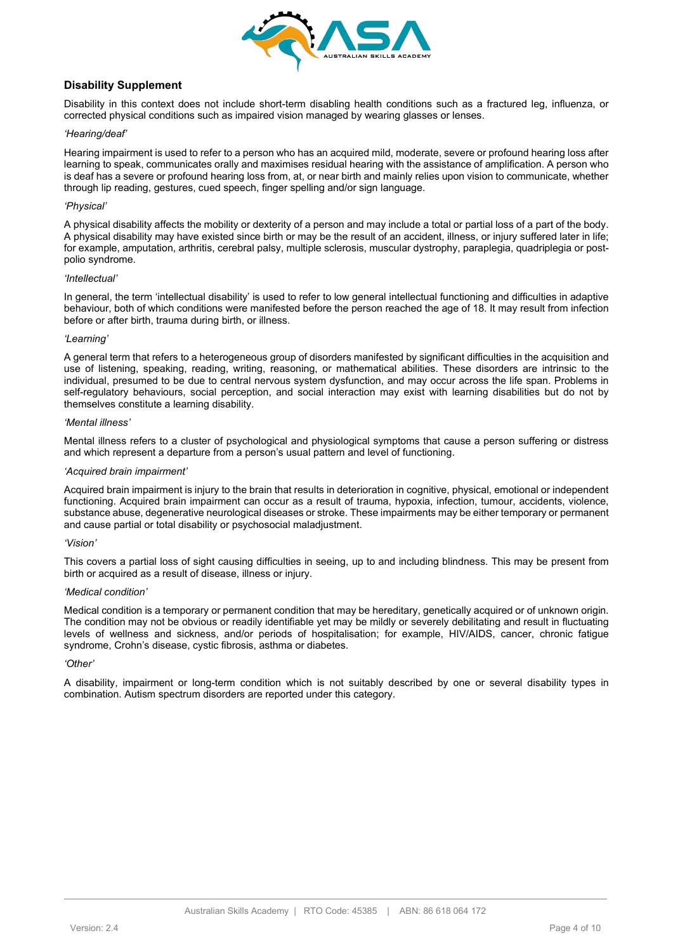

## **Disability Supplement**

Disability in this context does not include short-term disabling health conditions such as a fractured leg, influenza, or corrected physical conditions such as impaired vision managed by wearing glasses or lenses.

#### *'Hearing/deaf'*

Hearing impairment is used to refer to a person who has an acquired mild, moderate, severe or profound hearing loss after learning to speak, communicates orally and maximises residual hearing with the assistance of amplification. A person who is deaf has a severe or profound hearing loss from, at, or near birth and mainly relies upon vision to communicate, whether through lip reading, gestures, cued speech, finger spelling and/or sign language.

#### *'Physical'*

A physical disability affects the mobility or dexterity of a person and may include a total or partial loss of a part of the body. A physical disability may have existed since birth or may be the result of an accident, illness, or injury suffered later in life; for example, amputation, arthritis, cerebral palsy, multiple sclerosis, muscular dystrophy, paraplegia, quadriplegia or postpolio syndrome.

#### *'Intellectual'*

In general, the term 'intellectual disability' is used to refer to low general intellectual functioning and difficulties in adaptive behaviour, both of which conditions were manifested before the person reached the age of 18. It may result from infection before or after birth, trauma during birth, or illness.

#### *'Learning'*

A general term that refers to a heterogeneous group of disorders manifested by significant difficulties in the acquisition and use of listening, speaking, reading, writing, reasoning, or mathematical abilities. These disorders are intrinsic to the individual, presumed to be due to central nervous system dysfunction, and may occur across the life span. Problems in self-regulatory behaviours, social perception, and social interaction may exist with learning disabilities but do not by themselves constitute a learning disability.

#### *'Mental illness'*

Mental illness refers to a cluster of psychological and physiological symptoms that cause a person suffering or distress and which represent a departure from a person's usual pattern and level of functioning.

#### *'Acquired brain impairment'*

Acquired brain impairment is injury to the brain that results in deterioration in cognitive, physical, emotional or independent functioning. Acquired brain impairment can occur as a result of trauma, hypoxia, infection, tumour, accidents, violence, substance abuse, degenerative neurological diseases or stroke. These impairments may be either temporary or permanent and cause partial or total disability or psychosocial maladjustment.

#### *'Vision'*

This covers a partial loss of sight causing difficulties in seeing, up to and including blindness. This may be present from birth or acquired as a result of disease, illness or injury.

#### *'Medical condition'*

Medical condition is a temporary or permanent condition that may be hereditary, genetically acquired or of unknown origin. The condition may not be obvious or readily identifiable yet may be mildly or severely debilitating and result in fluctuating levels of wellness and sickness, and/or periods of hospitalisation; for example, HIV/AIDS, cancer, chronic fatigue syndrome, Crohn's disease, cystic fibrosis, asthma or diabetes.

#### *'Other'*

A disability, impairment or long-term condition which is not suitably described by one or several disability types in combination. Autism spectrum disorders are reported under this category.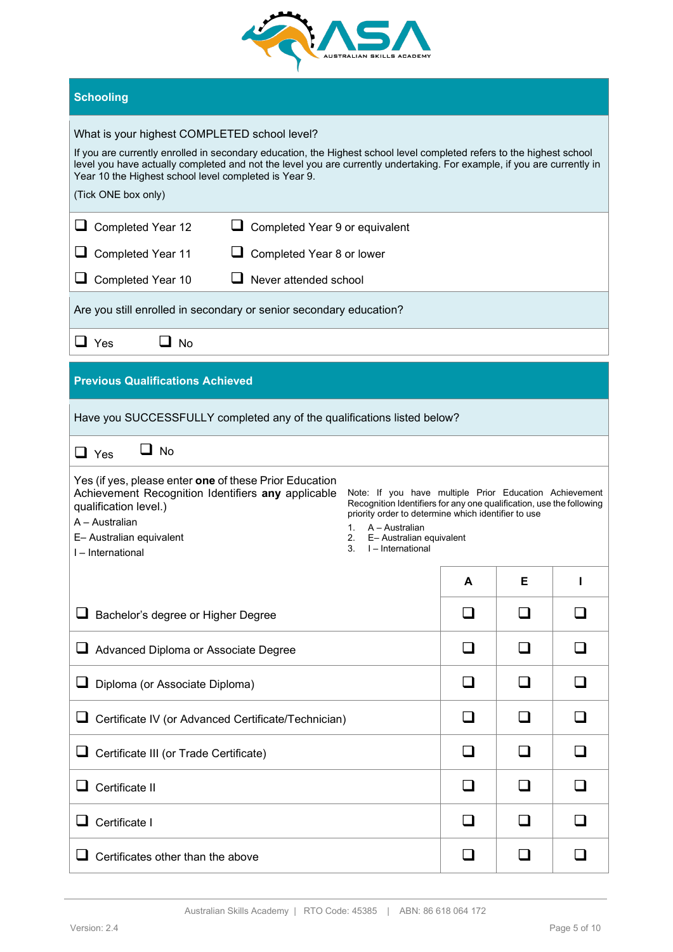

# **Schooling**

# What is your highest COMPLETED school level?

If you are currently enrolled in secondary education, the Highest school level completed refers to the highest school level you have actually completed and not the level you are currently undertaking. For example, if you are currently in Year 10 the Highest school level completed is Year 9.

#### (Tick ONE box only)

| (Tick ONE box only)                                                                                                                                                                                                                                                                                                                                                                                                                                                                    |  |   |   |  |  |  |
|----------------------------------------------------------------------------------------------------------------------------------------------------------------------------------------------------------------------------------------------------------------------------------------------------------------------------------------------------------------------------------------------------------------------------------------------------------------------------------------|--|---|---|--|--|--|
| $\Box$ Completed Year 12<br>Completed Year 9 or equivalent                                                                                                                                                                                                                                                                                                                                                                                                                             |  |   |   |  |  |  |
| Completed Year 11<br>Completed Year 8 or lower<br>⊔<br>⊔                                                                                                                                                                                                                                                                                                                                                                                                                               |  |   |   |  |  |  |
| Never attended school<br>Completed Year 10                                                                                                                                                                                                                                                                                                                                                                                                                                             |  |   |   |  |  |  |
| Are you still enrolled in secondary or senior secondary education?                                                                                                                                                                                                                                                                                                                                                                                                                     |  |   |   |  |  |  |
| $\Box$ Yes<br>U No                                                                                                                                                                                                                                                                                                                                                                                                                                                                     |  |   |   |  |  |  |
| <b>Previous Qualifications Achieved</b>                                                                                                                                                                                                                                                                                                                                                                                                                                                |  |   |   |  |  |  |
| Have you SUCCESSFULLY completed any of the qualifications listed below?                                                                                                                                                                                                                                                                                                                                                                                                                |  |   |   |  |  |  |
| $\square$ No<br>$\Box$ Yes                                                                                                                                                                                                                                                                                                                                                                                                                                                             |  |   |   |  |  |  |
| Yes (if yes, please enter one of these Prior Education<br>Achievement Recognition Identifiers any applicable<br>Note: If you have multiple Prior Education Achievement<br>Recognition Identifiers for any one qualification, use the following<br>qualification level.)<br>priority order to determine which identifier to use<br>A - Australian<br>A - Australian<br>1.<br>E- Australian equivalent<br>2.<br>E- Australian equivalent<br>3.<br>I - International<br>I - International |  |   |   |  |  |  |
|                                                                                                                                                                                                                                                                                                                                                                                                                                                                                        |  | A | Е |  |  |  |
| ⊔<br>Bachelor's degree or Higher Degree                                                                                                                                                                                                                                                                                                                                                                                                                                                |  |   |   |  |  |  |
| Advanced Diploma or Associate Degree                                                                                                                                                                                                                                                                                                                                                                                                                                                   |  |   |   |  |  |  |

| Certificate IV (or Advanced Certificate/Technician)<br>⊔ |  |  |
|----------------------------------------------------------|--|--|
| Certificate III (or Trade Certificate)<br>⊔              |  |  |
| Certificate II                                           |  |  |
| Certificate I                                            |  |  |
| Certificates other than the above                        |  |  |
|                                                          |  |  |

Diploma (or Associate Diploma)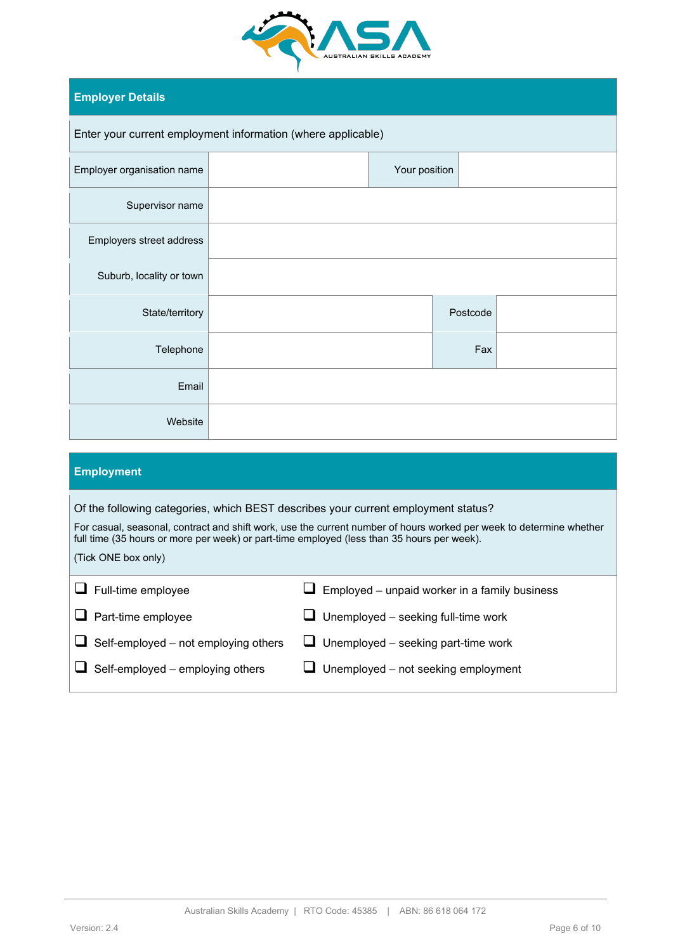

# **Employer Details**

| Enter your current employment information (where applicable) |  |               |          |  |  |  |  |
|--------------------------------------------------------------|--|---------------|----------|--|--|--|--|
| Employer organisation name                                   |  | Your position |          |  |  |  |  |
| Supervisor name                                              |  |               |          |  |  |  |  |
| Employers street address                                     |  |               |          |  |  |  |  |
| Suburb, locality or town                                     |  |               |          |  |  |  |  |
| State/territory                                              |  |               | Postcode |  |  |  |  |
| Telephone                                                    |  |               | Fax      |  |  |  |  |
| Email                                                        |  |               |          |  |  |  |  |
| Website                                                      |  |               |          |  |  |  |  |
|                                                              |  |               |          |  |  |  |  |

| <b>Employment</b>                                                                                                                                                                                                                                                                                                             |                                               |  |  |  |  |  |
|-------------------------------------------------------------------------------------------------------------------------------------------------------------------------------------------------------------------------------------------------------------------------------------------------------------------------------|-----------------------------------------------|--|--|--|--|--|
| Of the following categories, which BEST describes your current employment status?<br>For casual, seasonal, contract and shift work, use the current number of hours worked per week to determine whether<br>full time (35 hours or more per week) or part-time employed (less than 35 hours per week).<br>(Tick ONE box only) |                                               |  |  |  |  |  |
| Full-time employee                                                                                                                                                                                                                                                                                                            | Employed – unpaid worker in a family business |  |  |  |  |  |
| Part-time employee                                                                                                                                                                                                                                                                                                            | Unemployed - seeking full-time work           |  |  |  |  |  |
| Self-employed - not employing others                                                                                                                                                                                                                                                                                          | Unemployed – seeking part-time work           |  |  |  |  |  |
| Self-employed - employing others                                                                                                                                                                                                                                                                                              | Unemployed - not seeking employment           |  |  |  |  |  |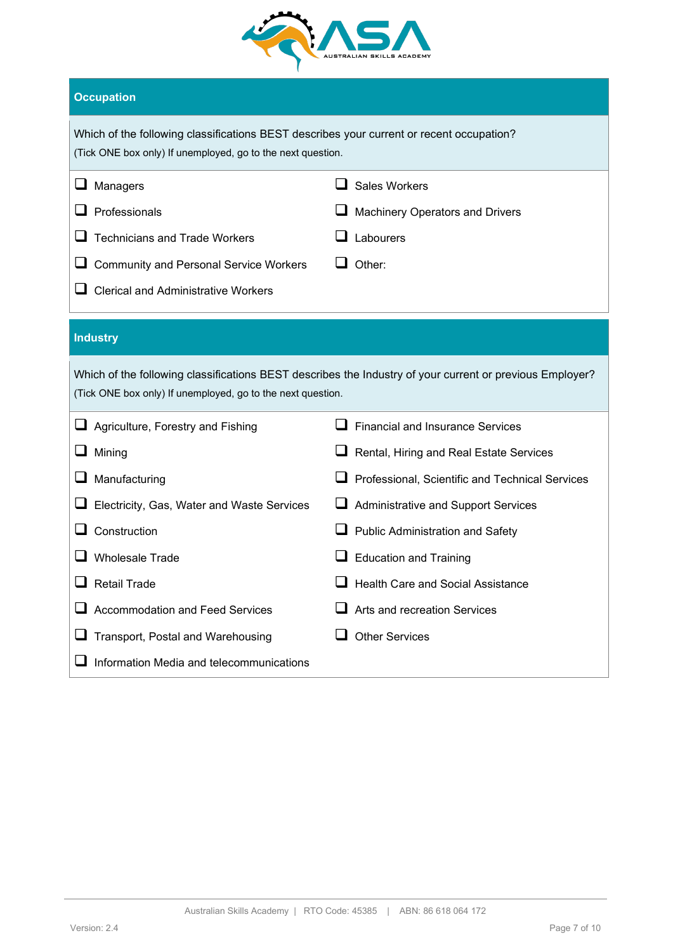

# **Occupation**

|   | Which of the following classifications BEST describes your current or recent occupation?<br>(Tick ONE box only) If unemployed, go to the next question.          |                                                                                                          |  |  |  |  |  |
|---|------------------------------------------------------------------------------------------------------------------------------------------------------------------|----------------------------------------------------------------------------------------------------------|--|--|--|--|--|
| ⊔ | Managers<br>Professionals<br><b>Technicians and Trade Workers</b><br><b>Community and Personal Service Workers</b><br><b>Clerical and Administrative Workers</b> | <b>Sales Workers</b><br>Machinery Operators and Drivers<br>Labourers<br>Other:                           |  |  |  |  |  |
|   | <b>Industry</b>                                                                                                                                                  |                                                                                                          |  |  |  |  |  |
|   | (Tick ONE box only) If unemployed, go to the next question.                                                                                                      | Which of the following classifications BEST describes the Industry of your current or previous Employer? |  |  |  |  |  |
|   |                                                                                                                                                                  |                                                                                                          |  |  |  |  |  |
|   | Agriculture, Forestry and Fishing                                                                                                                                | <b>Financial and Insurance Services</b>                                                                  |  |  |  |  |  |
|   | Mining                                                                                                                                                           | Rental, Hiring and Real Estate Services                                                                  |  |  |  |  |  |
|   | Manufacturing                                                                                                                                                    | Professional, Scientific and Technical Services                                                          |  |  |  |  |  |
|   | Electricity, Gas, Water and Waste Services                                                                                                                       | Administrative and Support Services                                                                      |  |  |  |  |  |
|   | Construction                                                                                                                                                     | Public Administration and Safety                                                                         |  |  |  |  |  |
|   | <b>Wholesale Trade</b>                                                                                                                                           | <b>Education and Training</b>                                                                            |  |  |  |  |  |
|   | <b>Retail Trade</b>                                                                                                                                              | <b>Health Care and Social Assistance</b>                                                                 |  |  |  |  |  |
|   | <b>Accommodation and Feed Services</b>                                                                                                                           | Arts and recreation Services                                                                             |  |  |  |  |  |
|   | Transport, Postal and Warehousing                                                                                                                                | <b>Other Services</b>                                                                                    |  |  |  |  |  |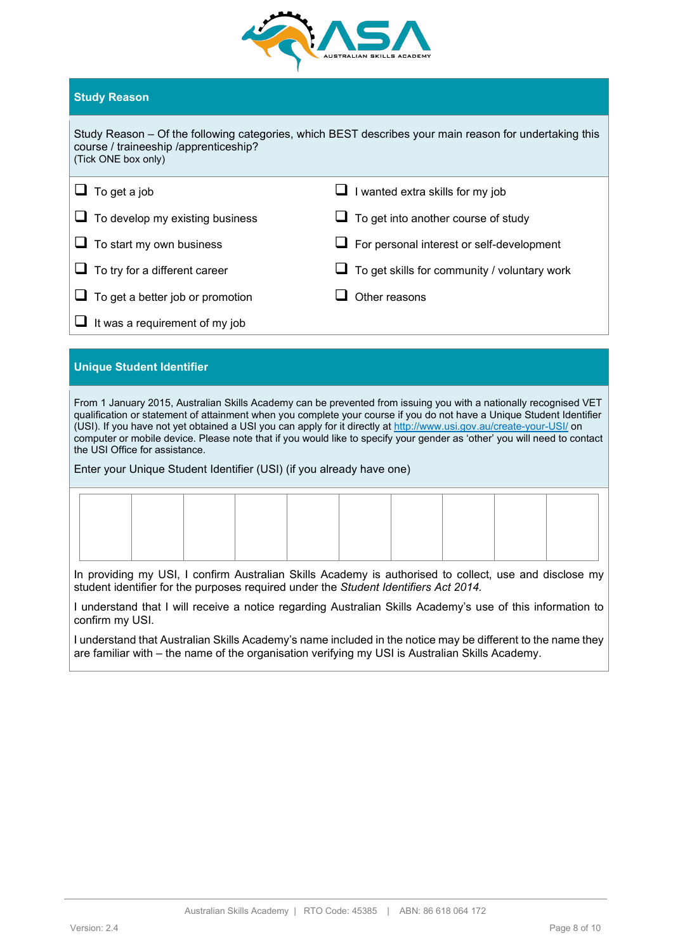

# **Study Reason**

| Study Reason – Of the following categories, which BEST describes your main reason for undertaking this<br>course / traineeship /apprenticeship?<br>(Tick ONE box only) |                                            |  |  |  |  |
|------------------------------------------------------------------------------------------------------------------------------------------------------------------------|--------------------------------------------|--|--|--|--|
| $\Box$ To get a job                                                                                                                                                    | $\Box$ I wanted extra skills for my job    |  |  |  |  |
| $\Box$ To develop my existing business                                                                                                                                 | $\Box$ To get into another course of study |  |  |  |  |
| $\Box$ To start my own business                                                                                                                                        | For personal interest or self-development  |  |  |  |  |

 $\Box$  To try for a different career  $\Box$  To get skills for community / voluntary work  $\Box$  To get a better job or promotion  $\Box$  Other reasons

 $\Box$  It was a requirement of my job

# **Unique Student Identifier**

From 1 January 2015, Australian Skills Academy can be prevented from issuing you with a nationally recognised VET qualification or statement of attainment when you complete your course if you do not have a Unique Student Identifier (USI). If you have not yet obtained a USI you can apply for it directly a[t http://www.usi.gov.au/create-your-USI/](http://www.usi.gov.au/create-your-USI/) on computer or mobile device. Please note that if you would like to specify your gender as 'other' you will need to contact the USI Office for assistance.

Enter your Unique Student Identifier (USI) (if you already have one)

In providing my USI, I confirm Australian Skills Academy is authorised to collect, use and disclose my student identifier for the purposes required under the *Student Identifiers Act 2014.*

I understand that I will receive a notice regarding Australian Skills Academy's use of this information to confirm my USI.

I understand that Australian Skills Academy's name included in the notice may be different to the name they are familiar with – the name of the organisation verifying my USI is Australian Skills Academy.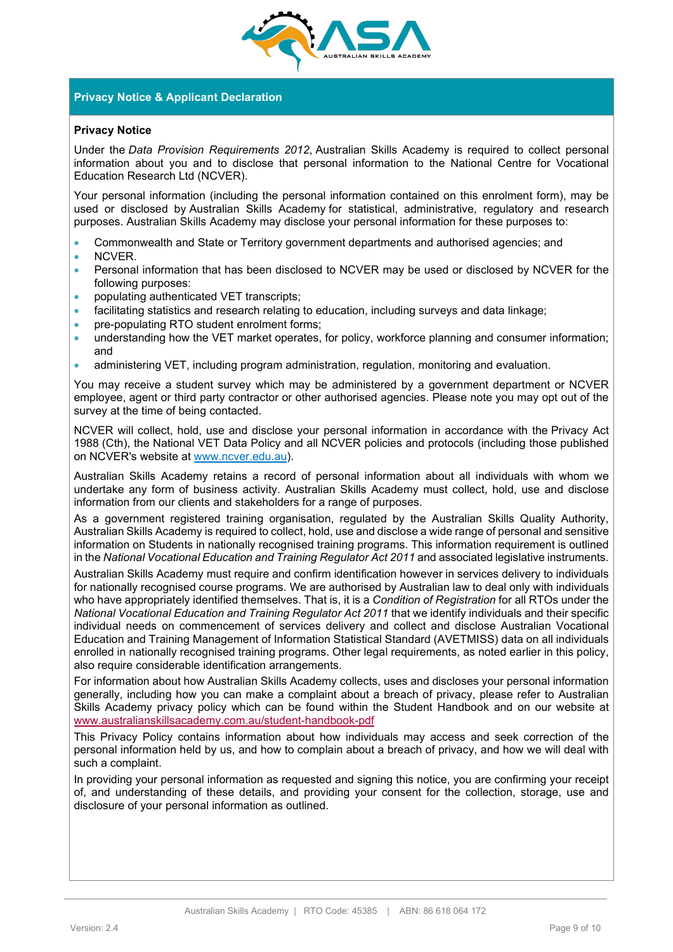

# **Privacy Notice & Applicant Declaration**

### **Privacy Notice**

Under the *Data Provision Requirements 2012*, Australian Skills Academy is required to collect personal information about you and to disclose that personal information to the National Centre for Vocational Education Research Ltd (NCVER).

Your personal information (including the personal information contained on this enrolment form), may be used or disclosed by Australian Skills Academy for statistical, administrative, regulatory and research purposes. Australian Skills Academy may disclose your personal information for these purposes to:

- Commonwealth and State or Territory government departments and authorised agencies; and
- NCVER.
- Personal information that has been disclosed to NCVER may be used or disclosed by NCVER for the following purposes:
- populating authenticated VET transcripts;
- facilitating statistics and research relating to education, including surveys and data linkage;
- pre-populating RTO student enrolment forms;
- understanding how the VET market operates, for policy, workforce planning and consumer information; and
- administering VET, including program administration, regulation, monitoring and evaluation.

You may receive a student survey which may be administered by a government department or NCVER employee, agent or third party contractor or other authorised agencies. Please note you may opt out of the survey at the time of being contacted.

NCVER will collect, hold, use and disclose your personal information in accordance with the Privacy Act 1988 (Cth), the National VET Data Policy and all NCVER policies and protocols (including those published on NCVER's website at [www.ncver.edu.au\)](http://www.ncver.edu.au/).

Australian Skills Academy retains a record of personal information about all individuals with whom we undertake any form of business activity. Australian Skills Academy must collect, hold, use and disclose information from our clients and stakeholders for a range of purposes.

As a government registered training organisation, regulated by the Australian Skills Quality Authority, Australian Skills Academy is required to collect, hold, use and disclose a wide range of personal and sensitive information on Students in nationally recognised training programs. This information requirement is outlined in the *National Vocational Education and Training Regulator Act 2011* and associated legislative instruments.

Australian Skills Academy must require and confirm identification however in services delivery to individuals for nationally recognised course programs. We are authorised by Australian law to deal only with individuals who have appropriately identified themselves. That is, it is a *Condition of Registration* for all RTOs under the *National Vocational Education and Training Regulator Act 2011* that we identify individuals and their specific individual needs on commencement of services delivery and collect and disclose Australian Vocational Education and Training Management of Information Statistical Standard (AVETMISS) data on all individuals enrolled in nationally recognised training programs. Other legal requirements, as noted earlier in this policy, also require considerable identification arrangements.

For information about how Australian Skills Academy collects, uses and discloses your personal information generally, including how you can make a complaint about a breach of privacy, please refer to Australian Skills Academy privacy policy which can be found within the Student Handbook and on our website at www.australianskillsacademy.com.au/student-handbook-pdf

This Privacy Policy contains information about how individuals may access and seek correction of the personal information held by us, and how to complain about a breach of privacy, and how we will deal with such a complaint.

In providing your personal information as requested and signing this notice, you are confirming your receipt of, and understanding of these details, and providing your consent for the collection, storage, use and disclosure of your personal information as outlined.